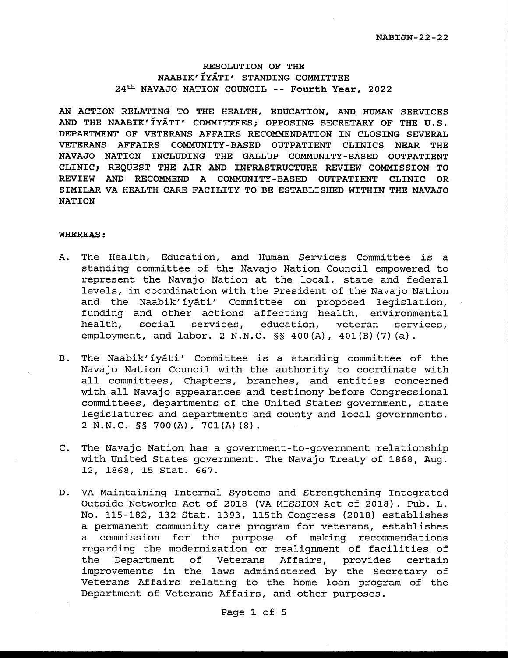# **RESOLUTION OF THE NAABIK'IYATI' STANDING COMMITTEE 24th NAVAJO NATION COUNCIL** -- **Fourth Year, 2022**

**AN ACTION RELATING TO THE HEALTH, EDUCATION, AND HUMAN SERVICES AND THE NAABIK'IYATI' COMMITTEES; OPPOSING SECRETARY OF THE U.S. DEPARTMENT OF VETERANS AFFAIRS RECOMMENDATION IN CLOSING SEVERAL VETERANS AFFAIRS COMMUNITY-BASED OUTPATIENT CLINICS NEAR THE NAVAJO NATION INCLUDING THE GALLUP COMMUNITY-BASED OUTPATIENT CLINIC; REQUEST THE AIR AND INFRASTRUCTURE REVIEW COMMISSION TO REVIEW AND RECOMMEND A COMMUNITY-BASED OUTPATIENT CLINIC OR SIMILAR VA HEALTH CARE FACILITY TO BE ESTABLISHED WITHIN THE NAVAJO NATION** 

# **WHEREAS:**

- A. The Health, Education, and Human Services Committee is a standing committee of the Navajo Nation Council empowered to represent the Navajo Nation at the local, state and federal levels, in coordination with the President of the Navajo Nation and the Naabik'iyati' Committee on proposed legislation, funding and other actions affecting health, environmental health, social services, education, veteran services, employment, and labor. 2 N.N.C. §§ 400(A), 401(B) (7) (a).
- B. The Naabik'iyati' Committee is a standing committee of the Navajo Nation Council with the authority to coordinate with all committees, Chapters, branches, and entities concerned with all Navajo appearances and testimony before Congressional committees, departments of the United States government, state legislatures and departments and county and local governments. 2 N.N.C. §§ 700(A), 701(A)(8).
- C. The Navajo Nation has a government-to-government relationship with United States government. The Navajo Treaty of 1868, Aug. 12, 1868, 15 Stat. 667.
- D. VA Maintaining Internal Systems and Strengthening Integrated Outside Networks Act of 2018 (VA MISSION Act of 2018). Pub. L. No. 115-182, 132 Stat. 1393, 115th Congress (2018) establishes a permanent community care program for veterans, establishes a commission for the purpose of making recommendations regarding the modernization or realignment of facilities of the Department of Veterans Affairs, provides certain improvements in the laws administered by the Secretary of Veterans Affairs relating to the home loan program of the Department of Veterans Affairs, and other purposes.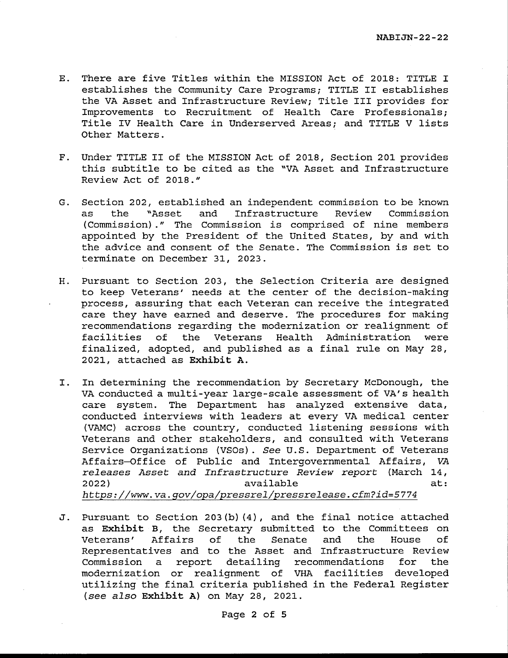- E. There are five Titles within the MISSION Act of 2018: TITLE I establishes the Community Care Programs; TITLE II establishes the VA Asset and Infrastructure Review; Title III provides for Improvements to Recruitment of Health Care Professionals; Title IV Health Care in Underserved Areas; and TITLE V lists Other Matters.
- F. Under TITLE II of the MISSION Act of 2018, Section 201 provides this subtitle to be cited as the "VA Asset and Infrastructure Review Act of 2018."
- G. Section 202, established an independent commission to be known as the "Asset and Infrastructure Review Commission ( Commission) . " The Commission is comprised of nine members appointed by the President of the United States, by and with the advice and consent of the Senate. The Commission is set to terminate on December 31, 2023.
- H. Pursuant to Section 203, the Selection Criteria are designed to keep Veterans' needs at the center of the decision-making process, assuring that each Veteran can receive the integrated care they have earned and deserve. The procedures for making recommendations regarding the modernization or realignment of facilities of the Veterans Health Administration were finalized, adopted, and published as a final rule on May 28, 2021, attached as **Exhibit A.**
- I. In determining the recommendation by Secretary McDonough, the VA conducted a multi-year large-scale assessment of VA's health care system. The Department has analyzed extensive data, conducted interviews with leaders at every VA medical center (VAMC) across the country, conducted listening sessions with Veterans and other stakeholders, and consulted with Veterans Service Organizations (VSOs). *See* U.S. Department of Veterans Affairs-Office of Public and Intergovernmental Affairs, *VA releases Asset and Infrastructure Review report* (March 14, 2022) available at: *https://www.va.gov/opa/pressrel/pressrelease.cfm?id=5774*
- J. Pursuant to Section 203(b) (4), and the final notice attached as **Exhibit** B, the Secretary submitted to the Committees on Veterans' Affairs of the Senate and the House of Representatives and to the Asset and Infrastructure Review Commission a report detailing recommendations for the modernization or realignment of VHA facilities developed utilizing the final criteria published in the Federal Register *(see also* **Exhibit A)** on May 28, 2021.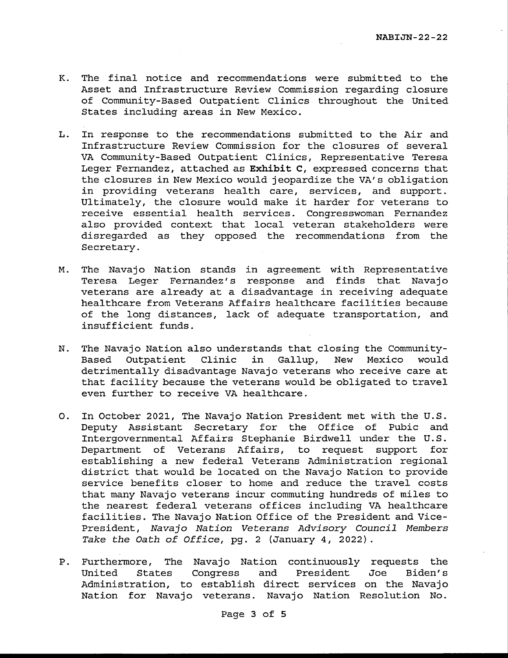- K. The final notice and recommendations were submitted to the Asset and Infrastructure Review Commission regarding closure of Community-Based Outpatient Clinics throughout the United States including areas in New Mexico.
- L. In response to the recommendations submitted to the Air and Infrastructure Review Commission for the closures of several VA Community-Based Outpatient Clinics, Representative Teresa Leger Fernandez, attached as **Exhibit C,** expressed concerns that the closures in New Mexico would jeopardize the VA's obligation in providing veterans health care, services, and support. Ultimately, the closure would make it harder for veterans to receive essential health services. Congresswoman Fernandez also provided context that local veteran stakeholders were disregarded as they opposed the recommendations from the Secretary.
- M. The Navajo Nation stands in agreement with Representative Teresa Leger Fernandez's response and finds that Navajo veterans are already at a disadvantage in receiving adequate healthcare from Veterans Affairs healthcare facilities because of the long distances, lack of adequate transportation, and insufficient funds.
- N. The Navajo Nation also understands that closing the Community-Based Outpatient Clinic in Gallup, New Mexico would detrimentally disadvantage Navajo veterans who receive care at that facility because the veterans would be obligated to travel even further to receive VA healthcare.
- 0. In October 2021, The Navajo Nation President met with the U.S. Deputy Assistant Secretary for the Office of Pubic and Intergovernmental Affairs Stephanie Birdwell under the U.S. Department of Veterans Affairs, to request support for establishing a new federal Veterans Administration regional district that would be located on the Navajo Nation to provide service benefits closer to home and reduce the travel costs that many Navajo veterans incur commuting hundreds of miles to the nearest federal veterans offices including VA healthcare facilities. The Navajo Nation Office of the President and Vice-President, Navajo Nation Veterans Advisory Council Members Take the Oath of Office, pg. 2 (January 4, 2022).
- P. Furthermore, The Navajo Nation continuously requests the United States Congress and President Joe Biden's Administration, to establish direct services on the Navajo Nation for Navajo veterans. Navajo Nation Resolution No.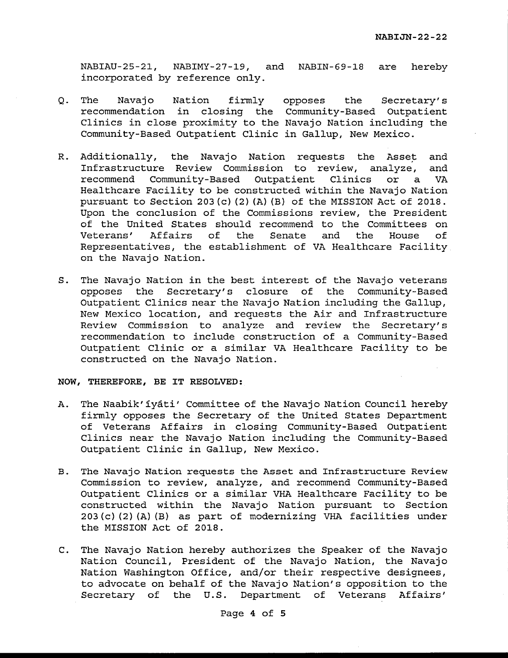NABIAU-25-21, NABIMY-27-19, and NABIN-69-18 are hereby incorporated by reference only.

- Q. The Navajo Nation recommendation in closing the Community-Based Outpatient Clinics in close proximity to the Navajo Nation including the Community-Based Outpatient Clinic in Gallup, New Mexico. firmly opposes the Secretary's
- R. Additionally, the Navajo Nation requests the Asset and Infrastructure Review Commission to review, analyze, and recommend Community-Based Outpatient Clinics or a VA Healthcare Facility to be constructed within the Navajo Nation pursuant to Section 203(c) (2) (A) (B) of the MISSION Act of 2018. Upon the conclusion of the Commissions review, the President of the United States should recommend to the Committees on Veterans' Affairs of the Senate and the House of Representatives, the establishment of VA Healthcare Facility on the Navajo Nation.
- S. The Navajo Nation in the best interest of the Navajo veterans opposes the Secretary's closure of the Community-Based Outpatient Clinics near the Navajo Nation including the Gallup, New Mexico location, and requests the Air and Infrastructure Review Commission to analyze and review the Secretary's recommendation to include construction of a Community-Based Outpatient Clinic or a similar VA Healthcare Facility to be constructed on the Navajo Nation.

# **NOW, THEREFORE, BE IT RESOLVED:**

- A. The Naabik'iyati' Committee of the Navajo Nation Council hereby firmly opposes the Secretary of the United States Department of Veterans Affairs in closing Community-Based Outpatient Clinics near the Navajo Nation including the Community-Based Outpatient Clinic in Gallup, New Mexico.
- B. The Navajo Nation requests the Asset and Infrastructure Review Commission to review, analyze, and recommend Community-Based Outpatient Clinics or a similar VHA Healthcare Facility to be constructed within the Navajo Nation pursuant to Section 203(c) (2) (A) (B) as part of modernizing VHA facilities under the MISSION Act of 2018.
- C. The Navajo Nation hereby authorizes the Speaker of the Navajo Nation Council, President of the Navajo Nation, the Navajo Nation Washington Office, and/or their respective designees, to advocate on behalf of the Navajo Nation's opposition to the Secretary of the U.S. Department of Veterans Affairs'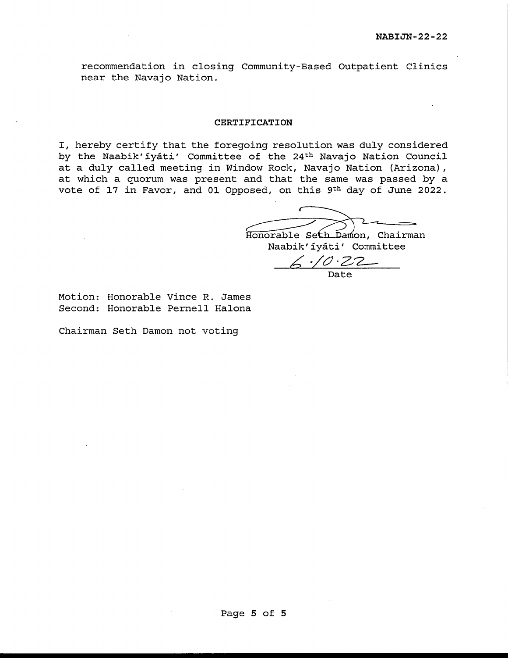recommendation in closing Community-Based Outpatient Clinics near the Navajo Nation.

# **CERTIFICATION**

I, hereby certify that the foregoing resolution was duly considered by the Naabik'iyati' Committee of the 24th Navajo Nation Council at a duly called meeting in Window Rock, Navajo Nation (Arizona), at which a quorum was present and that the same was passed by a vote of 17 in Favor, and 01 Opposed, on this 9th day of June 2022.

Honorable Seth Damon, Chairman Naabik'iyati' Committee

 $6.70.22$ Date

Motion: Honorable Vince R. James Second: Honorable Pernell Halona

Chairman Seth Damon not voting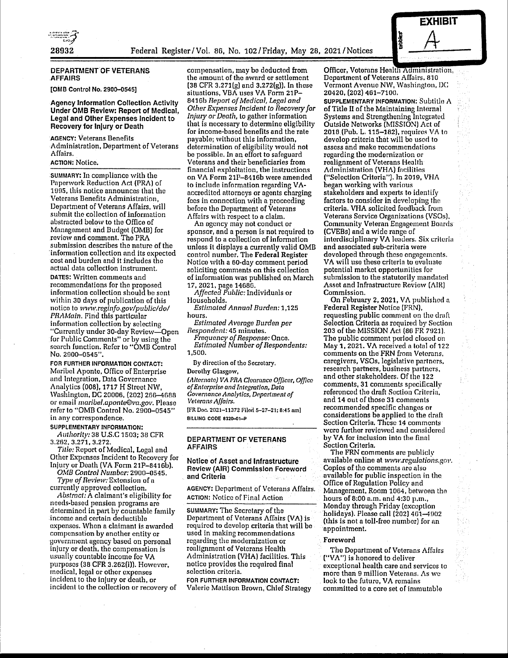



# DEPARTMENT OF VETERANS AFFAIRS

[0MB Control No. 2900-0545]

#### Agency Information Collection Activity Under 0MB Review: Report of Medical, Legal and Other Expenses Incident to Recovery for Injury or Death

AGENCY: Veterans Benefits Administration, Department of Veterans Affairs.

### ACTION: Notice.

SUMMARY: In compliance with the Paperwork Reduction Act (PRA) or 1995, this notice announces that the Veterans Benefits Administration, Department of Veterans Affairs, will submit the collection of information abstracted below to the Office of Managoment and Budget (0MB) for review and comment. The PRA submission describes tho nature of tho 'information collection and its expected cost antl burden and it includes tho actual data collection instrument. DATES: Written comments and recommendations for the proposed information collection should ho sent within 30 days of publication of this notice to *www.reginfo.gov/public/do/ PRAMain. Find this particular* information collection by selecting "Currently under 30-day Review-Open for Public Comments" or by using tho search function. Refer to "OMB Control No. 2900-0545".

FOR FURTHER INFORMATION CONTACT: Maribel Aponte, Office of Enterprise and Integration, Data Governance Analytics (008), 1717 H Street NW, Washington, DC 20006, (202) 266-4688 or email *maribel.aponte@va.gov.* Please refer to "OMB Control No. 2900-0545" in any correspondence.

### SUPPLEMENTARY INFORMATION: *Authority:* 38 U.S.C 1503; 38 CFR

3.262, 3.271, 3.272.

*Title:* Report of Medical, Legal and Other Expenses Incident to Recovery for Injury or Death (VA Form 21P-8416b).

*O,WB Co11trol Number:* 2900-0545. *Type of Review:* Extension of n

currently approved collection. *Abstract:* A claimant's eligibility for needs-based pension programs are determined in part by countable family income and certain doductiblo expenses. When a claimant is awarded compensation by another entity or government agency based on personal injury or death, the compensation is usually countable income for VA purposes (38 CFR 3.262(i)), However, medical, legal or other expenses incident to the injury or death, or incident to the collection or recovery of compensation, may be deducted from the amount of tho award or settlement (38 CFR 3.271(g) and 3.272(g)), In those situations, VBA uses VA Form 21P-8416b *Report of Medical, Legal and Other Expenses Incident to Recovery for Injury* or *Death,* Lo gather information that is necessary to determine eligibility for income-bused benefits and the rate payable; without this information, determination of eligibility would not be possible. In an effort to safeguard Veterans and their beneficiaries from financial exploitation, the instructions on VA Form 21P-8416b were amended to includo information regarding **VA**nccrcditod attorneys or agents charging foes in connection with a proceeding before tho Department of Veterans Affairs with respect to a claim.

An agency may not conduct or sponsor, and a person is not required to respond to a collection of information unless it displays a currently valid OMB control number. The **Federal Register**  Notice with a 60-day comment period soliciting comments on this collection of information was published on March 17, 2021, page 14686.

*Affected Public:* Individuals or Households.

*Estimated Annual Burden:* 1,125 hours.

*Estimated A vemge Burden per Respondent:* 45 minutes.

*Frequency of Response:* Once. *Estimated Number of Respondents:*  1,500.

Dy direction of the Secretary,

#### Dorothy Glasgow,

*(,1/ternate) VAPRA C/aamnce Officer, Office of Enlnrprise and Integration, Data*   $G$ overnance Analytics, Department of *Veterans Affairs.* [l'R Doc. 2021-11372 Filorl 5-27-21; 0:45 nm]

BILLING CODE 8320-01-P

## DEPARTMENT OF **VETERANS**  AFFAIRS

## Notice of Asset and Infrastructure Review (AIR) Commission Foreword and Criteria

AGENCY: Deportment of Veterans Affairs. ACTION: Notice of Final Action

SUMMARY: The Secretary of tho Department of Veterans Affairs (VA) is required to develop criteria that will be used in making recommendations regarding the modernization or realignment of Veterans Health Administration (VHA) facilities. This notice provides tho required final selection criteria.

FOR FURTHER **INFORMATION CONTACT:**  Valerie Mattison Brown, Chief Strategy Officer, Veterans Health Administration, Department of Veterans Affairs, 810 Vermont Avenue NW, Washington, DC 20420, (202) 461-7100. SUPPLEMENTARY INFORMATION: Subtitle A of Title II of the Maintaining Internal Systems and Strengthening Integrated Outside Networks (MISSION) Act of 2018 (Pub. L. 115-182), requires VA to develop criteria that will be used to assess and make rccommondntions regarding the modernization or realignment of Veterans Health Administration (VHA) facilities ("Selection Criteria"). In 2019, VHA began working with various stakeholders and experts to identify factors to consider in developing tho criteria. VHA solicited foetlback from Veterans Service Organizations (VSOs), Community Veteran Engagement Boards (CVEBs) and a wide range of interdisciplinary VA leaders. Six criteria and associated sub-criteria were developed through these engagements. VA will use those criteria to evaluate potential market opportunities for submission to the statutorily mandated Asset and Infrastructure Review  $(AIR)$ Commission.

**EXHIBIT** 

On February 2, 2021, VA published a **Federal Register** Notice (FRN), requesting public comment on the draft Selection Criteria as required by Section 203 of the MISSION Act (86 FR 7921). Tho public comment period closed on May **1,** 2021. **VA** received a total of 122 comments on tho FRN from Veterans, caregivers, VSOs, legislative partners, research partners, business partners, and other stakeholders. Of the 122 comments, 31 comments spocifically referenced the draft Section Criteria. and 14 out of those 31 comments recommended spocific changes or considerations be applied to the draft<br>Section Criteria. These 14 comments were further reviewed and considered by VA for inclusion into the finnl Section Criterin.

The FRN comments are publicly available online at *www.regulations.gov.* Copies of the comments are also available for public inspection in the Office of Regulation Policy and Management, Room 1064, betwoon tho hours of 8:00 a.m. and 4:30 p.m., Monday through Friday (exception holidays). Please call (202) 461-4902 (this is not a toll-free number) for an appointment.

#### **Foreword**

Tho Department of Veterans Affairs ("VA") is honored to deliver exceptional health care and services to more thon 9 million Vetemns. As we look to tho future, VA remains committed to a core set of immutable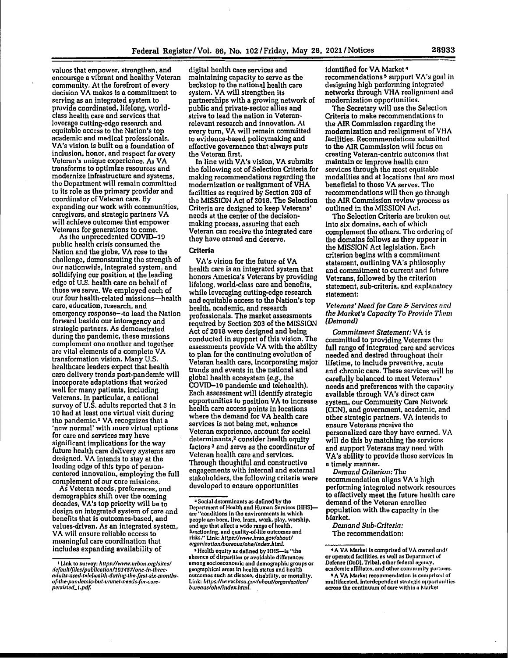valuos that empower, strengthen, and encournge a vibrant and healthy Veteran community. At the forefront of every docision VA makos **Is a** commitment to serving as an integrated system to provide coordinated, lifelong, worldclass health care and services that lovornge cutting-odge research and equitable access to the Nation's top academic and medical professionals. VA's vision is built on a foundation of inclusion, honor, and respect for every Veteran's unique experience. As VA transforms to optimize resources and modernize infrastructure and systems, tho Department will remain committed lo its role as the primary provider and coordinator of Veteran care. By . expanding our work with communities, caregivors, and strategic partners VA will achieve outcomes that empower<br>Veterans for generations to come.

As the unprecedented COVID-19 public health crisis consumed the Nation and the globe, VA rose to the challenge, demonstrating the strength of our nationwide, integrated system, and solidifying our position at the leading edge of U.S. health care on behalf of those we serve. We employed each of our four health-related missions-health care, education, research, and emergency response-to lead the Nation forward besido our interagency and strategic partners. As demonstrated during the pandemic, these missions complement one another and together are vital elements of a complete VA transformation vision. Many U.S. healthcare leaders expect that health care delivery trends post-pandemic will incorporate adaptations that worked well for many patients, Including Veterans. In particular, a national survey of U.S. adults reported that 3 in 10 had at least one virtual visit during the pandemic.<sup>1</sup> VA recognizes that a 'now normal' with more virtual options for care and services may have significant implications for the way future health care delivery systems arc designed. VA intends to stay at the leading edge of this type of personcentered innovation, employing the full complement of our core missions.

As Veteran needs, preferences, and demographics shift over tho coming decades, VA's top priority will be to design an integrated system of core and benefits that Is outcomes-based, and values-driven. As an integrated system, VA will ensure reliable access to meaningful care coordination that includes expanding availability of

1 Link to survey: *https:llwww.urbon.org/sites/ defoull/f//oslpubllco/ionh0J457/one-fn-thrceadults-used-telehcafth,durf11s•the-first-six-monthso/•lhe-panclemlc•but-unmet-needs-for-core• /lCl'Sislcd\_t .pd[.* 

digital health care services and maintaining capacity to serve as the backstop to the national health care system. VA will strengthen its partnerships with a growing network of public and private-sector allies and strive to lead the nation in Veteranrelevant research and innovation. At every tum, VA will remain committed to evidence-based policymaking and effective governance that always puts the Veteran first.

In line with VA's vision, VA submits the following set of Selection Criteria for making recommendations regarding the modernization or realignment ofVHA facilities as required by Section 203 of the MISSION Act of 2018. The Selection Criteria arc designed to keep Veterans' needs at the center of the decisionmaking process, assuring that each Veteran can receive the integrated care they have earned and deserve.

# **Criteria**

VA's vision for the future of VA health care is an integrated system that honors America's Veterans by providing lifelong, world-class care and benefits, while leveraging cutting-odge research and equitable access to the Nation's top health, academic, and research professionals. The market assessments required by Section 203 of the MISSION Act of 2018 were designed and being conducted in support of this vision. The assessments provide VA with the ability to plan for the continuing evolution of Veteran health care, incorporating major trends and events in the national and global health ecosystem (e.g., the COVID-19 pandemic and telohealth). Each assessment will identify strategic opportunities to position VA to increase health care access points in locations where the demand for VA health care services is not being met, enhance Veteran experience, account for social determinants,<sup>2</sup> consider health equity factors 3 and serve as the coordinator of Veteran health care and services. Through thoughtful and constructive engagements with internal and external stakoholders, the following criteria were developed to ensure opportunities

• lloalth equity os defined by HHS-is "the absence of disparities or avoidable difference, among socioeconomic and demographic groups or geographical areas In health status and health utcomes such as disease, disability, or mortality. Link: *hltps://wivw.hrsa.gov!about/organizationl bureaus/ohc/indcx.html.* 

identified for VA Market <sup>4</sup> recommendations<sup>5</sup> support VA's goal in designing high performing integrated networks through VHA realignment and modernization opportunities.

The Secretary will use the Selection Criteria to make recommendations lo the AIR Commission regarding the modernization and realignment of VHA facilities. Recommendations submitted to the AIR Commission will focus on creating Veteran-centric outcomos that maintain or improve health care services through the most equitable modalities and at locations that aro most beneficial to those VA serves. The recommendations will then go through the AIR Commission review process us outlined in the MISSION Act.

The Selection Criteria arc broken out into six domains, each of which complement tho others. The ordering of the domains follows as they appear in the MISSION Act legislation. Each criterion begins with a commitment statement, outlining VA's philosophy and commitment to current and future Veterans, followed by the criterion statement, sub-criteria, and explanatory statement:

#### *Veterans' Need for Care* & *Services* nnc/ *the Market's Capacity To Provicle T/rem {Demand}*

*Commitment Statement:* VA is committed to providing Veterans tho full range of integrated care and services needed and desired throughout their lifetime, to include preventive, acute and chronic care. These services will he carefully balanced to meet Veterans' needs and preferences with the capacity available through VA's direct care system, our Community Care Network (CCN), and government, academic:, and other strategic partners. VA Intends to ensure Veterans receive tho personalized care they hnvo earned. VA will do this by matching the services and support Veterans may need with **VA's** ability to provide those services in a timely manner.

*Demand* Criterion:Tho recommendation aligns VA's high performing integrated network resources to effectively meet the future health care demand of the Veteran enrollee population with the capacity in the Market.

*Demand Sub-Criteria:*  The recommendation:

<sup>2</sup>Social determinants as defined by the Department of Health and Human Services (HHS)are "conditions in the environments in which people are horn, live, learn, work, play, worship, and ago that affect a wide range of health,<br>functioning, and quality-of-life outcomes and<br>risks." Link: *https://www.hrsa.gov/about/*<br>*organization/bureaus/ohe/index.html.* 

<sup>&</sup>lt;sup>4</sup> A VA Market is comprised of VA owned and/ or operated facilities, as well as Department of Defense (DoD), Tribal, other federal agency,

ncadomlc nffillatos, and othur community purlncrs. <sup>5</sup> A VA Market recommendation is comprised of multifacoted, intordependent strategic opportunities across the continuum of care within a Market.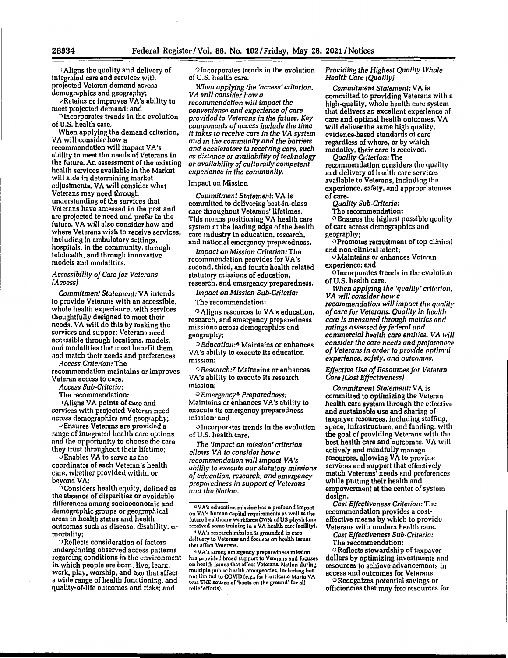• Aligns the quality and delivery of intogrnted care and services with projected Veteran demand across demographics and geography;

.>Retains or improves VA's ability to meet projected demand; and

.,Incorporates trends in tho evolution of U.S. health care.

When applying the demand criterion, VA will consider how a recommendation will impact VA's ability to meet tho needs of Veterans in the future. An assessment of the existing health services available In the Market will aide in determining market adjustments. VA will consider what Veterans may need through understanding of the services that Veterans have accessed in tho past and aro projected to need and prefer in the future. VA will also consider how and where Veterans wish to receive services, including In ambulatory settings, hospitals, in the community, through telehealth, and through innovative models and modalities.

#### *Accessibility of* Care *for Veterans (Access)*

*Commitment Statement:* VA intends lo provide Veterans with an accessible, whole health experience, with services thoughtfully designed to meet their needs. **VA will** do this by making the services and support Veterans need accessible through locations, models, and modalities that most benefit them and match their needs and preferences.

*Access Criterion:* The recommendation maintains or improves

Veteran access to care.

*Access Sub-Criteria:*  The recommendation:

·•Aligns VA points of care and services with projected Veteran need

across demographics and geography; -Ensures Veterans are provided a range of integrated health care options and the opportunity to choose the care they trust throughout their lifetime;

,.1 Enables VA to servo as the coordinator of each Veteran's health care, whether provided within or bevond VA;

 $\dot{\gamma}$ Considers health equity, defined as the absence of disparities or avoidable differences among socioeconomic and demographic groups or geographical areas in health status and health outcomes such as disease, disability, or mortality;

 $\cap$  Reflects consideration of factors underpinning observed access patterns regarding conditions in the environment in which people are born, live, learn, work, play, worship, and age that affect a wide range of health functioning, and quality-of-life outcomes and risks: and

o Incorporates trends in the evolution of U.S. health care.

*When applying the 'access' criterion, VA will consider how a recommendation will impact the convenience and experience of care provided to Veterans in the future. Key components of access include the time it takes to receive care in the VA system and in the community and the barriers and accelerators to receiving care, such as distance or availability of technology or availability of culturally competent experience in the community.* 

#### Impact on Mission

*Commitment Statement:* VA is committed to delivering best-in-class caro throughout Veterans' lifetimes. This moans positioning VA health care system at the leading edge of the health care industry in education, research, and national emergency preparedness.

*Impact on Mission Criterion:The*  recommendation provides **for VA's**  second, third, and fourth health related statutory missions of education, research, and emergency preparedness.

*Impact on Mission Sub-Criteria:* 

Tho recommendation:

o Aligns resources to **V A's** education, research, and emergency preparedness missions across demographics and geography;

·.) *Education: <sup>6</sup>*Maintains or enhances VA's ability to execute its education mission:

o *Research:* 7 Maintains or enhances VA's ability to execute its research mission;

o *Emergency* <sup>8</sup>*Preparedness:*  Maintains or enhances **VA's** ability to execute its emergency preparedness mission; and

-> Incorporates trends in the evolution of U.S. health care.

*The 'impact on mission' criterion allows VA to consider how a recommendation will impact VA's ability to execute our statutory missions of education, research, and emergency preparedness in support of Veterans and the Nation.* 

<sup>a</sup> VA's strong emurgency preparodness mission<br>hus provided broad support to Veterans and focuses<br>on health issues that affect Veterans. Nation during multiple public health emergencies, Including but not limited to COVID [e.g., for Hurricane Marla VA was THE source of 'boots on tho ground' for oil relief efforts).

# *Providing the Highest Quality Whule Health Care (Quality}*

*Commitment Statement:* VA Is committed to providing Veterans with a high-quality, whole health care system that delivers an excellent experience of care and optimal health outcomes. VA will deliver the same high quality. evidence-based standards of care regardless of where, or by which modality, their care is received.

*Quality Criterion:* The recommondation considers the quality and delivery of health care services available to Veterans, including the experience, safely, and appropriateness of care.

*Quality Sub-Criteria:* 

Tho recommendation:

OEnsures the highest possible quality of care across demographics and geography;

OPromotes recruitment of lop clinical and non-clinical talent;

u Maintains or enhances Veteran experience; and

OIncorporates trends in the evolution<br>of U.S. health care.

When applying the 'quality' criterion,<br>VA will consider how a recommendation will impact the quality *of care for Veterans. Quality in healt/i*  care *is measured through metrics cmd ratings assessed by federal and commercial health* care *entities.* \11\ *will consider the care needs and pmf nronc:r.s of Veterans in order to provide optimnl*   $exp$ *experience, safety, and outcomes.* 

*Effective Use of Resources for Veteran Care (Cost Effectiveness}* 

*Commitment Statement: VA is* committed to optimizing the Vetenm health care system through the effective and sustainable use and sharing of taxpayer resources, including staffing, space, infrastructure, and funding, with the goal of providing Veterans with tho best health care and outcomes. VA will actively and mindfully manage resources, allowing VA to provide services and support that offectively match Veterans' needs and preferences while putting their health and empowerment at the centor of systum design.

*Cost Effectiveness Criterio11:* Tho recommendation provides a costeffective means by which to provido Veterans with modern health care.

*Cost Effectiveness Sub-Criteria:*  The recommendation:

u Reflects stewardship of taxpayer dollars by optimizing investments and resources to achieve advancements in access and outcomes for Veterans:<br>ORecognizes potential savings or

officiencies that may free resources for

<sup>•</sup> VA's education mission has a profound Impact on VA's human capital requirements as well as the future healthcare workforco (70% of US physicians rer.oived some training in **a VA** henlth care facility),

<sup>7</sup>VA's research mission Is grounded in care delivery to Veterans and focuses on health issues that affect Veterans.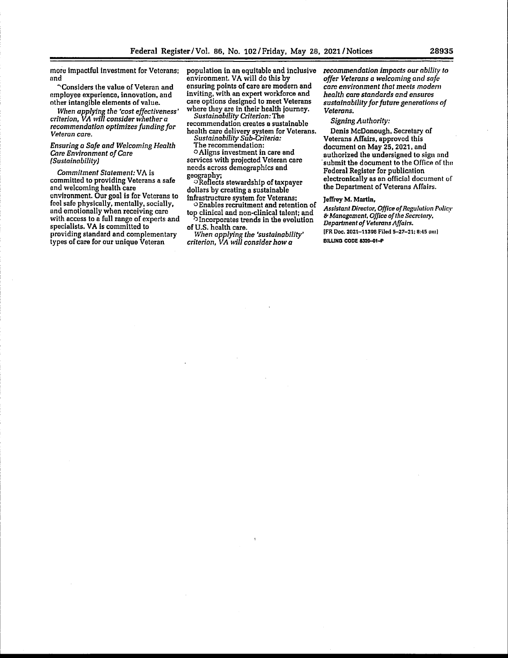more impactful investment for Veterans; nnd

<sup>o</sup>Considers the value of Veteran and employee experience, innovation, and other intangible elements of value.

*When applying the 'cost effectiveness' criterion, VA will consider whether a recommendation optimizes funding for Veteran care.* 

#### *Ensuring a Safe and Welcoming Health Care Environment of Care (Sustainability)*

*Commitment Statement:* VA is committed to providing Veterans a safe ond welcoming health care environment. Our goal is for Veterans to fool safo physically, mentally, socially, and emotionally when receiving care with access to a full range of experts and specialists. **VA is** committed lo providing standard and complementary types of care for our unique Veteran

population in an equitable and inclusive environment. VA will do this by ensuring points of care are modem and inviting, with an expert workforce and care options designed to meet Veterans where they are in their health journey.

*Sustainability Criterion:The*  recommendation creates a sustainable health caro delivery system **for** Veterans.

*Sustainability Sub-Criteria:*  The recommendation:

o Aligns investment in care and services with projected Veteran care needs across demographics and geography;

0Reflects stewardship of taxpayer dollars by creating a sustainable

infrastructure system for Veterans; o Enables recruitment and retention of top clinical and non-clinical talent; and

<sup>0</sup>Incorporates trends in the evolution of U.S. health care. *When applying the 'sustainability'* 

*criterion, VA will consider how a* 

*recommendation impacts our ability to offer Veterans a welcoming ancl safe*  care *environment that meets modern health* care *standards and ensures sustainability for future generations of Veterans.* 

*Signing Authority:* 

Denis McDonough, Secretary of Veterans Affairs, approved this document on May 25, 2021, and authorized the undersigned to sign nnd submit the document to the Office of the Federal Register for publication electronically as an official documont of the Department of Veterans Affairs.

#### Jeffrey M. Martin,

*Assistant Director, Office of Regulation Policy* 6' *Management, Office of the Secrotmy, Department of Veterans Affairs.*  [FR Doc. 2021-11398 Filed S-27-21: H:45 am)

BILLING CODE 8320-01-P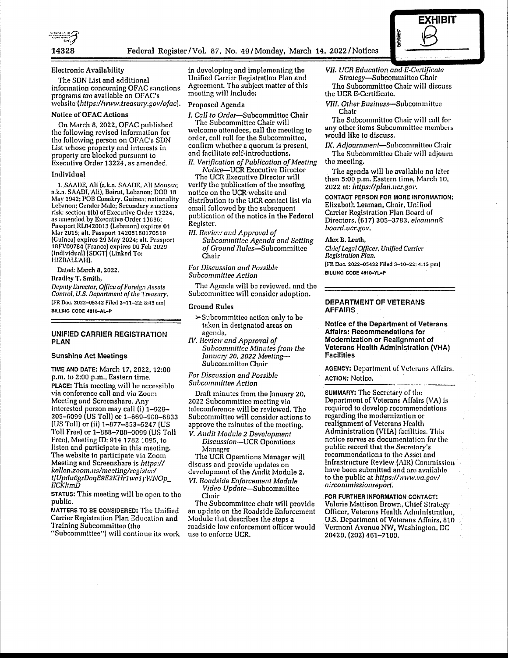

#### Electronic **Availability**

The SON List and additional information concerning OF AC sanctions programs aro availablo on OFAC's website *(https://www.treasury.gov/ofac).* 

#### **Notice of OFAC Actions**

On March 8, 2022, OFAC published the following revised information for tho following person on OFAC's SDN List whose property and interests in property are blocked pursunnt to Executive Order 13224, as amended.

#### **Individual**

1. SAADE, Ali (a.k.a. SAADE, Ali Moussa; n.k.a. SAADI. Ali), Beirut, Lebanon; DOB 18 May 1942; POB Conakry, Guinea; nationality Lebanon; Gender Male; Secondary sanctions risk: section 1(b) of Executive Order 13224, ns anrnndocl by Executive Order 13886; Passport RL0420013 (Lebanon) expires 01 Mar 2015; alt. Passport 14205180170519 (Guinea) expires 29 May 2024; nit. Passport 18FV00784 (Franco) expires 06 Feb 2020 (individual) [SDGT] (Linked To: HIZDALLAH).

Datod: March B, 2022.

Bradley **T. Smith,** 

*Deputy Director, Office of Furoign Assets Control, U.S. Department of the Treasury.* [FR Doc. 2022-05342 Filed 3-11-22; 8:45 am] **BILUIIG COOE 4810-AL-P** 

## **UNIFIED CARRIER REGISTRATION PLAN**

#### **Sunshine Act Meetings**

TIME ANO DATE: March 17, 2022, 12:00 p.m. lo 2:00 p.m., Eastern time. **PLACE:** This meeting will be accessible via conference call and via Zoom Meeting and Screenshare. Any interested person may call (i)  $1-929-$ 205-6099 (US Toll) or 1-669-900-6833 (US Toll) or (ii) 1-877-853-5247 (US Toll Free) or 1-888-788-0099 (US Toll Fron), Meeting ID: 914 1782 1095, to liston and participate in this meeting. The website to participate via Zoom Meeting and Screenshare is *littps:/1 kcllcn.zoom.uslmccting/registerl tJUpdu£JgrDoqE9E2KHr1 we 1* yWNOp\_ *ECK/tmD* 

**STATUS:** This meeting will be open to the public.

MATTERS TO BE CONSIDERED: The Unified Carrier Registration Plan Education and Training Subcommitteo (tho

"Subcommittee") will continue ils work

in developing and implementing tho Unified Carrier Registration Plan and Agreement. Tho subject matter of this meeting will Include:

#### Proposed Agenda

*I. Call to* Order-Subcommittee Chair

The Subcommittee Chair will welcome attendees, call the meeting to order, cull roll for the Subcommittee, confirm whether a quorum is present, and facilitate self-introductions. *II. Verification of Publication of Meeting* 

*Nolice-UCR* Executive Director The UCR Executive Director will

verify the publication of the meeting notice on tho UCR website and distribution lo the UCR contact list via email followed by tho subsequent publication of the notice in the **Federal**  Register.

*III. Review and Approval of Subcommittee Agenda and Setting of Ground* Ru/es-Subcommittee Chair

*For Discussion and Possible Subcommittee Action* 

The Agenda will be reviewed, and the Subcommillee will consider adoption.

#### Ground Rules

- $\rightarrow$  Subcommittee action only to be taken in designated areas on agenda.
- I\!. *Ilevic11· and Approval of Subcommittee Minutes from* Lhe *January, 20, 2022 Meeting-*Subcommitten Chnir

### *For Discussion and Possibla Subcommittee Action*

Draft minutes from the January 20, 2022 Subcommittee mooting vin teleconference will be reviewed. The Subcommittee will consider actions to approve the minutes of the meeting. *V.* Alldit *Module 2 Development* 

Discussion-UCR Operations Manager

The UCR Operations Manager will discuss and provide updates on development of the Audit Module 2,

*VT. Roadside Enforcement Module Video Update-Subcommittee*  Chair

The Subcommittee chair will provide an update on the Roadside Enforcement Module that describes the steps a roadside law enforcement officer would use lo enforce UCR.

*VII. UCR Education and E-Certificate* Strategy-Subcommittoo Chair Tho Subcommittee Chair will discuss

**EXHIBIT** 

 $\underline{\mathcal{B}}$ 

the UCR E-Certificato.

*VIII. Other* Business-Subcommittee Chair

Tho Subcornmitteo Chair will call for any other items Subcommittee members would like lo discuss.

*IX. Adjournment*-Subcommittee Chair The Subcommittee Chair will adjourn tho meeting.

The agenda will be available no later than 5:00 p.m. Eastern time, March 10, 2022 at: *Jittps:l/plan.11cr.gov.* 

CONTACT PERSON FOR MORE INFORMATION: Elizaboth Leaman, Chair, Unified Carrier Registration Plan Board of Directors, (617) 305-3783, *eleaman® board.ucr.gov.* 

#### **Alex B,** Leath,

*Clifof Legal Officer, Unified Currier Registration Plan.*  [FR Doc. 2022-05432 Filed 3-10-22: 4:15 pm]

BILLING CODE 4910-YL-P

#### **DEPARTMENT OF VETERANS AFFAIRS.**

**Notice of the** Department of Veterans **Affairs: Recommendations** for **Modernization or** Realignment of **Veterans** Health Administration (VHA) **Facilities** 

**AGENCY: Department of Veterans Affairs.** 

**ACTION: Notico.**<br>**SUMMARY: The Secretary of the** Department of Veterans Affoirs (VA) is required to develop recommendations regarding the modernization or realignment of Veterans Health Administration (VHA) facilities. This notice serves as documentation for the public record that the Secretary's recommendations to the Asset and Infrastructure Review (AIR) Commission have been submitted and nro available to the public at *https:/lwww.va.gov/ aircommissionreport.* 

FOR FURTHER INFORMATION CONTACT: Valerie Mattison Drown, Chiof Slralcgy Officer, Veterans Health Administration, U.S. Department of Veterans Affairs, 810 Vermont Avenue NW, Washington, DC 20420, (202) 461-7100.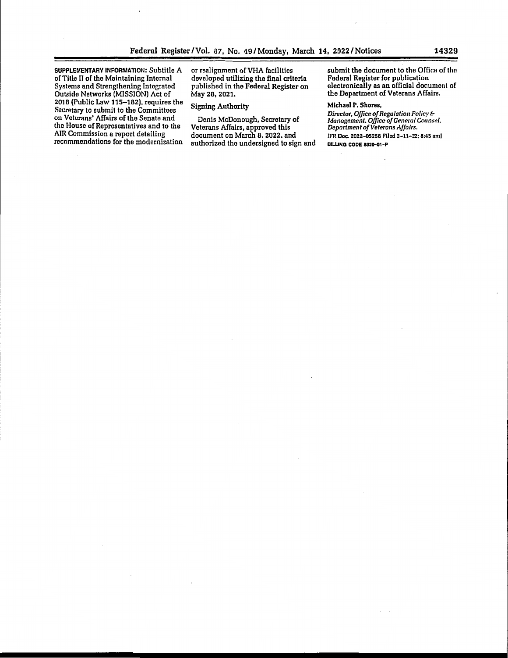SUPPLEMENTARY INFORMATION: Subtitle A of Title II of the Maintaining Internal Systems and Strengthening Integrated Outside Networks (MISSION) Act of 2018 (Public Law 115-182), requires the Secretary to submit to the Committees on Veterans' Affairs of the Senato and the House of Representatives and to the AIR Commission a report detailing recommendations for the modernization

or realignment ofVHA facilities developed utilizing the final criteria published in the **Federal Register** on May 28, 2021.

# Signing Authority

Denis McDonough, Secretary of Veterans Affairs, approved this document on March 8, 2022, and authorized tho undersigned to sign and submit the document to the Office of the Federal Register for publication electronically as an official document of the Department of Veterans Affairs.

## **Michael P. Shores,**

*Director, Office of Regula lion Policy* & *Management, Office of* Genem/ *Co11nsd. Department af Veterans Affairs.*  (FR Doc. 2022--05256 Filed 3-11-22; 8:45 nml **BILLING CODE 8320-01-P**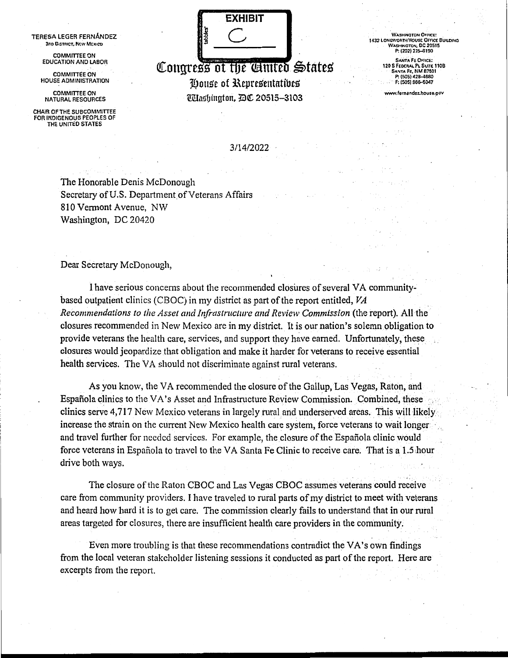TERESA LEGER FERNANDEZ **3no O,STRICT .. NEW Mtx1co** 

> COMMITTEE ON EDUCATION AND LABOR

COMMITTEE ON ~IOUSE ADMINISTRATION

COMMITTEE ON NATURAL RESOURCES

CHAIR OF THE SUBCOMMITTEE FOR INDIGENOUS PEOPLES OF THE UNITED STATES



**Congress of the** *Contro* States House of Representatives Ulashinaton, DC 20515-3103

WASHINGTON OFFICE:<br>1432 LONGWORTH HOUSE OFFICE BUILDING W.t.s>t1NGTON, DC 20515 P: (202) 225-6190

SANTA FE OFFICE:<br>120 S FEDERAL PL SUITE 110B<br>SANTA FE, NM 87501<br>P: (505) 428–4680 F: (505) 986-6047

www.femandoz.house.gov

3/14/2022

The Honorable Denis McDonough Secretary of U.S. Department of Veterans Affairs 810 Vermont Avenue, NW Washington, DC 20420

Dear Secretary McDonough,

I have serious concerns about the recommended closures of several VA communitybased outpatient clinics (CBOC) in my district as part of the report entitled, *VA Recommendations to the Asset and Jnfrastnicture and Review Commission* (the report). All the closures recommended in New Mexico are in my district. It is our nation's solemn obligation to provide veterans the health care, services, and support they have earned. Unfortunately, these closures would jeopardize that obligation and make it harder for veterans to receive essential health services. The VA should not discriminate against rural veterans.

As you know, the VA recommended the closure of the Gallup, Las Vegas, Raton, and Española clinics to the VA's Asset and Infrastructure Review Commission. Combined, these clinics serve 4,717 New Mexico veterans in largely rural and underserved areas. This will likely increase the strain on the current New Mexico health care system, force veterans to wait longer and travel further for needed services. For example, the closure of the Española clinic would force veterans in Española to travel to the VA Santa Fe Clinic to receive care. That is a 1.5 hour drive both ways.

The closure of the Raton CBOC and Las Vegas CBOC assumes veterans could receive care from community providers. I have traveled to rural parts of my district to meet with veterans and heard how hard it is to get care. The commission clearly fails to understand that in our rural areas targeted for closures, there are insufficient health care providers in the community.

Even more troubling is that these recommendations contradict the VA's own findings from the local veteran stakeholder listening sessions it conducted as part of the report. Here are excerpts from the report.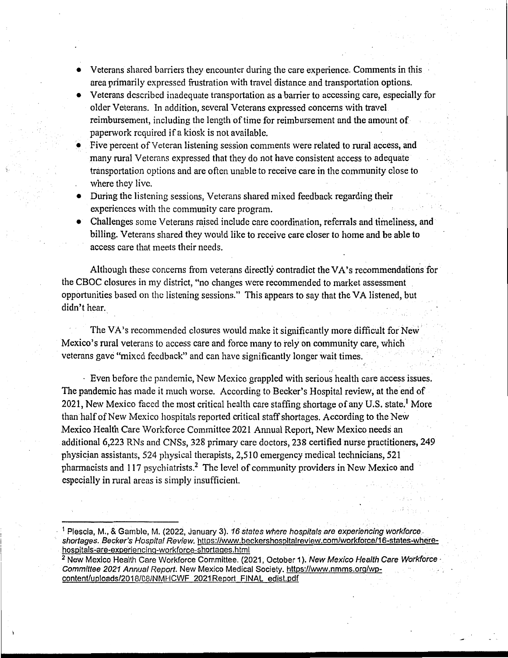- Veterans shared barriers they encounter during the care experience. Comments in this area primarily expressed frustration with travel distance and transportation options.
- Veterans described inadequate transportation as a barrier to accessing care, especially for older Veterans. In addition, several Veterans expressed concerns with travel reimbursement, including the length of time for reimbursement and the amount of paperwork required if a kiosk is not available.
- Five percent of Veteran listening session comments were related to rural access, and many rural Veterans expressed that they do not have consistent access to adequate transportation options and are often unable to receive care in the community close to where they live.
- During the listening sessions, Veterans shared mixed feedback regarding their experiences with the community care program.
- Challenges some Veterans raised include care coordination, referrals and timeliness, and billing. Veterans shared they would like to receive care closer to home and be able to access care that meets their needs.

Although these concerns from veterans directly contradict the VA's recommendations for the CBOC closures in my district, "no changes were recommended to market assessment opportunities based on the listening sessions." This appears to say that the VA listened, but didn't hear.

The VA's recommended closures would make it significantly more difficult for New Mexico's rural veterans to access care and force many to rely on community care, which veterans gave "mixed feedback" and can have significantly longer wait times .

· Even before the pandemic, New Mexico grappled with serious health care access issues. The pandemic has made it much worse. According to Becker's Hospital review, at the end of 2021, New Mexico faced the most critical health care staffing shortage of any U.S. state.<sup>1</sup> More than half of New Mexico hospitals reported critical staff shortages. According to the New Mexico Health Care Workforce Committee 2021 Annual Report, New Mexico needs an additional 6,223 RNs and CNSs, 328 primary care doctors, 238 certified nurse practitioners, 249 physician assistants, 524 physical therapists, 2,510 emergency medical technicians, 521 pharmacists and 117 psychiatrists.2 The level of community providers in New Mexico and especially in rural areas is simply insufficient.

. ;

<sup>&</sup>lt;sup>1</sup> Plescia, M., & Gamble, M. (2022, January 3). 16 states where hospitals are experiencing workforce. shortages. Becker's Hospital Review. https://www.beckershospitalreview.com/workforce/16-states-where-<br>hospitals-are-experiencing-workforce-shortages.html

<sup>&</sup>lt;sup>2</sup> New Mexico Health Care Workforce Committee. (2021, October 1). New Mexico Health Care Workforce Committee 2021 Annual Report. New Mexico Medical Society. https://www.nmms.org/wpcontent/uploads/2018/08/NMHCWF 2021 Report FINAL edist.pdf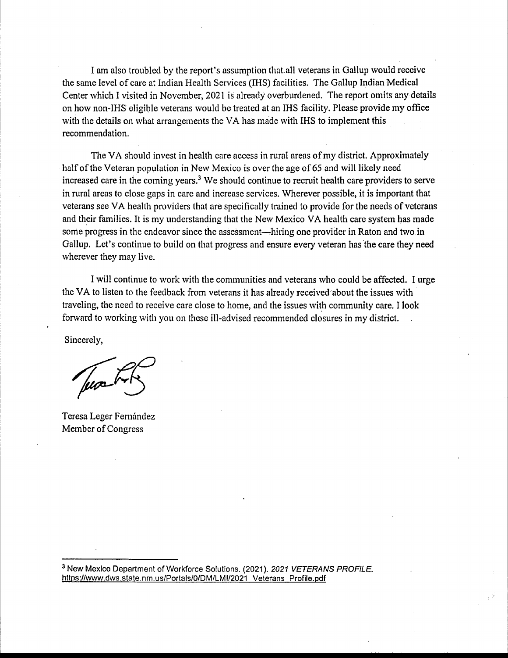I am also troubled by the report's assumption that.all veterans in Gallup would receive the same level of care at Indian Health Services (IHS) facilities. The Gallup Indian Medical Center which I visited in November, 2021 is already overburdened. The report omits any details on how non-IHS eligible veterans would be treated at an IHS facility. Please provide my office with the details on what arrangements the VA has made with IHS to implement this recommendation.

The VA should invest in health care access in rural areas of my district. Approximately half of the Veteran population in New Mexico is over the age of 65 and will likely need increased care in the coming years.<sup>3</sup> We should continue to recruit health care providers to serve in rural areas to close gaps in care and increase services. Wherever possible, it is important that veterans see VA health providers that are specifically trained to provide for the needs of veterans and their families. It is my understanding that the New Mexico VA health care system has made some progress in the endeavor since the assessment—hiring one provider in Raton and two in Gallup. Let's continue to build on that progress and ensure every veteran has the care they need wherever they may live.

I will continue to work with the communities and veterans who could be affected. I urge the VA to listen to the feedback from veterans it has already received'about the issues with traveling, the need to receive care close to home, and the issues with community care. I look forward to working with you on these ill-advised recommended closures in my district.

Sincerely,

Teresa Leger Fernández Member of Congress

<sup>3</sup> New Mexico Department of Workforce Solutions. (2021). 2021 VETERANS PROFILE. https://www.dws.state.nm.us/Portals/O/DM/LMl/2021 Veterans Profile.pdf